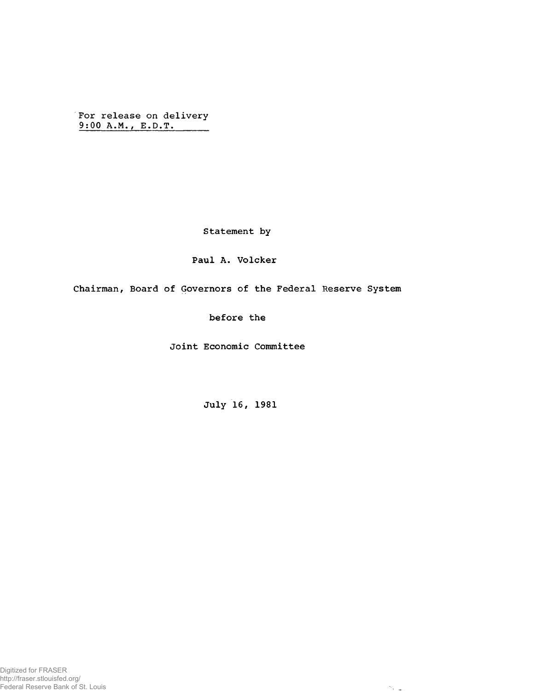For release on delivery 9;0Q A.M., E.D.T,

Statement by

## Paul A. Volcker

Chairman, Board of Governors of the Federal Reserve System

before the

Joint Economic Committee

July 16, 1981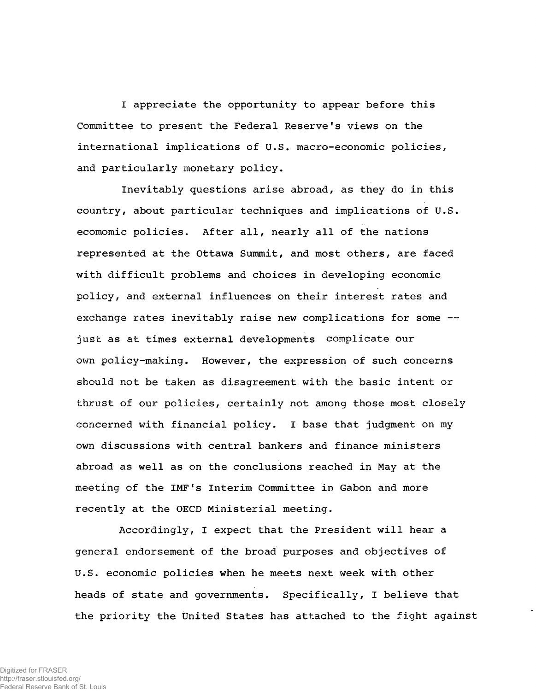I appreciate the opportunity to appear before this Committee to present the Federal Reserve's views on the international implications of U.S. macro-economic policies, and particularly monetary policy.

Inevitably questions arise abroad, as they do in this country, about particular techniques and implications of U.S. ecomomic policies. After all, nearly all of the nations represented at the Ottawa Summit, and most others, are faced with difficult problems and choices in developing economic policy, and external influences on their interest rates and exchange rates inevitably raise new complications for some -just as at times external developments complicate our own policy-making. However, the expression of such concerns should not be taken as disagreement with the basic intent or thrust of our policies, certainly not among those most closely concerned with financial policy. I base that judgment on my own discussions with central bankers and finance ministers abroad as well as on the conclusions reached in May at the meeting of the IMF's Interim Committee in Gabon and more recently at the OECD Ministerial meeting.

Accordingly, I expect that the President will hear a general endorsement of the broad purposes and objectives of U.S. economic policies when he meets next week with other heads of state and governments. Specifically, I believe that the priority the United States has attached to the fight against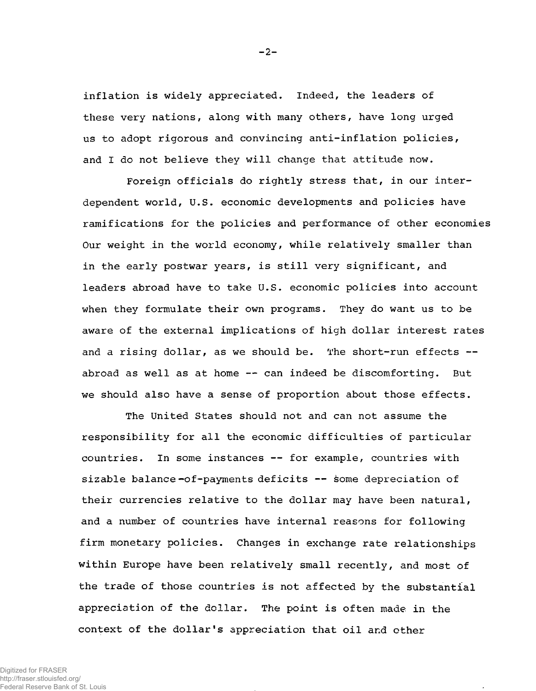inflation is widely appreciated. Indeed, the leaders of these very nations, along with many others, have long urged us to adopt rigorous and convincing anti-inflation policies, and I do not believe they will change that attitude now.

Foreign officials do rightly stress that, in our interdependent world, U.S. economic developments and policies have ramifications for the policies and performance of other economies Our weight in the world economy, while relatively smaller than in the early postwar years, is still very significant, and leaders abroad have to take U.S. economic policies into account when they formulate their own programs. They do want us to be aware of the external implications of high dollar interest rates and a rising dollar, as we should be. The short-run effects -abroad as well as at home — can indeed be discomforting. But we should also have a sense of proportion about those effects.

The United States should not and can not assume the responsibility for all the economic difficulties of particular countries. In some instances — for example, countries with sizable balance-of-payments deficits -- some depreciation of their currencies relative to the dollar may have been natural, and a number of countries have internal reasons for following firm monetary policies. Changes in exchange rate relationships within Europe have been relatively small recently, and most of the trade of those countries is not affected by the substantial appreciation of the dollar. The point is often made in the context of the dollar's appreciation that oil and other

 $-2-$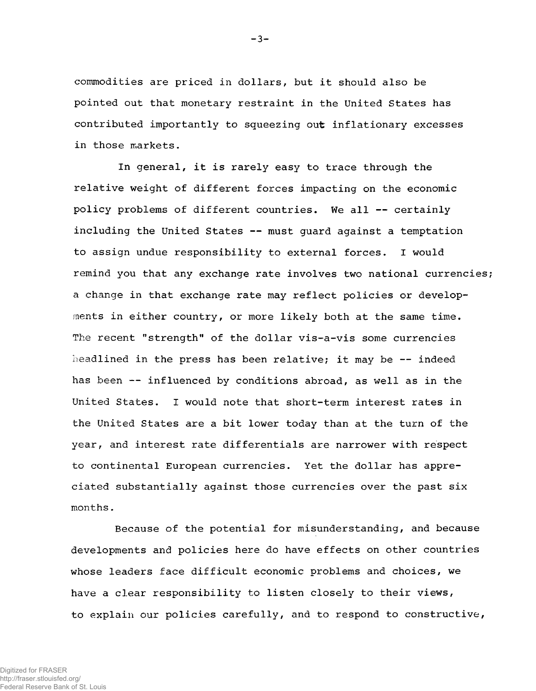commodities are priced in dollars, but it should also be pointed out that monetary restraint in the United States has contributed importantly to squeezing out inflationary excesses in those markets.

In general, it is rarely easy to trace through the relative weight of different forces impacting on the economic policy problems of different countries. We all — certainly including the United States — must guard against a temptation to assign undue responsibility to external forces. I would remind you that any exchange rate involves two national currencies; a change in that exchange rate may reflect policies or developments in either country, or more likely both at the same time. The recent "strength" of the dollar vis-a-vis some currencies headlined in the press has been relative; it may be -- indeed has been -- influenced by conditions abroad, as well as in the United States. I would note that short-term interest rates in the United States are a bit lower today than at the turn of the year, and interest rate differentials are narrower with respect to continental European currencies. Yet the dollar has appreciated substantially against those currencies over the past six months.

Because of the potential for misunderstanding, and because developments and policies here do have effects on other countries whose leaders face difficult economic problems and choices, we have a clear responsibility to listen closely to their views, to explain our policies carefully, and to respond to constructive,

 $-3-$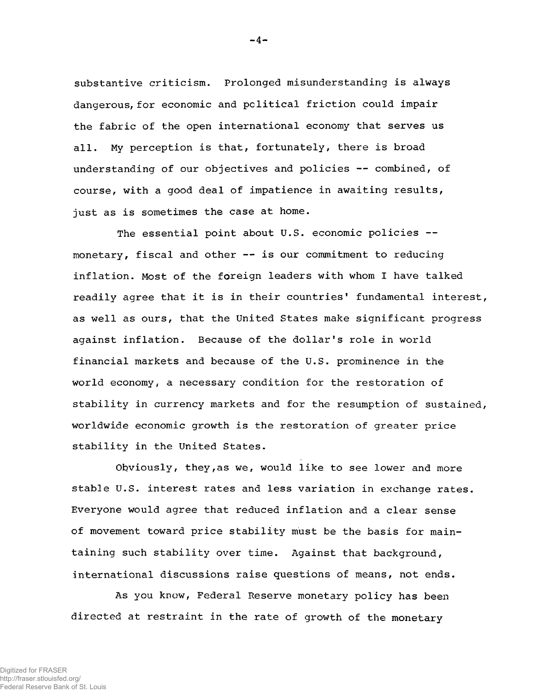substantive criticism. Prolonged misunderstanding is always dangerous, for economic and political friction could impair the fabric of the open international economy that serves us all. My perception is that, fortunately, there is broad understanding of our objectives and policies — combined, of course, with a good deal of impatience in awaiting results, just as is sometimes the case at home.

The essential point about U.S. economic policies -monetary, fiscal and other -- is our commitment to reducing inflation. Most of the foreign leaders with whom I have talked readily agree that it is in their countries' fundamental interest, as well as ours, that the United States make significant progress against inflation. Because of the dollar's role in world financial markets and because of the U.S. prominence in the world economy, a necessary condition for the restoration of stability in currency markets and for the resumption of sustained, worldwide economic growth is the restoration of greater price stability in the United States.

Obviously, they,as we, would like to see lower and more stable U.S. interest rates and less variation in exchange rates. Everyone would agree that reduced inflation and a clear sense of movement toward price stability must be the basis for maintaining such stability over time. Against that background, international discussions raise questions of means, not ends.

As you know, Federal Reserve monetary policy has been directed at restraint in the rate of growth of the monetary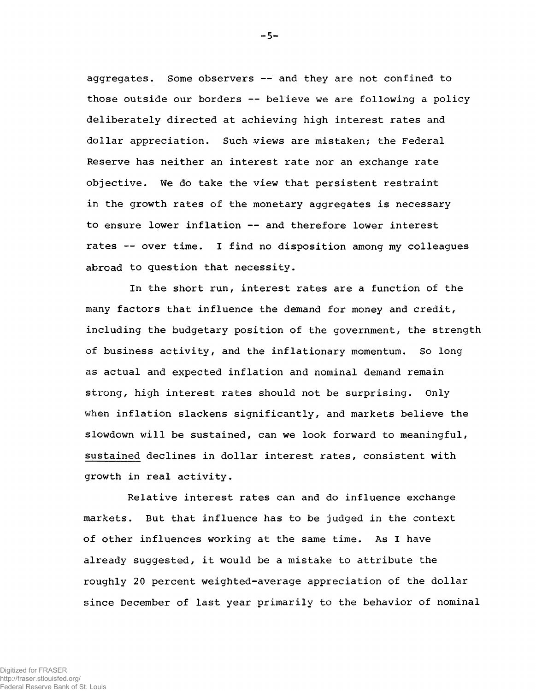aggregates. Some observers  $--$  and they are not confined to those outside our borders — believe we are following a policy deliberately directed at achieving high interest rates and dollar appreciation. Such views are mistaken; the Federal Reserve has neither an interest rate nor an exchange rate objective. We do take the view that persistent restraint in the growth rates of the monetary aggregates is necessary to ensure lower inflation — and therefore lower interest rates — over time. I find no disposition among my colleagues abroad to question that necessity.

In the short run, interest rates are a function of the many factors that influence the demand for money and credit, including the budgetary position of the government, the strength of business activity, and the inflationary momentum. So long as actual and expected inflation and nominal demand remain strong, high interest rates should not be surprising. Only when inflation slackens significantly, and markets believe the slowdown will be sustained, can we look forward to meaningful, sustained declines in dollar interest rates, consistent with growth in real activity.

Relative interest rates can and do influence exchange markets. But that influence has to be judged in the context of other influences working at the same time. As I have already suggested, it would be a mistake to attribute the roughly 20 percent weighted-average appreciation of the dollar since December of last year primarily to the behavior of nominal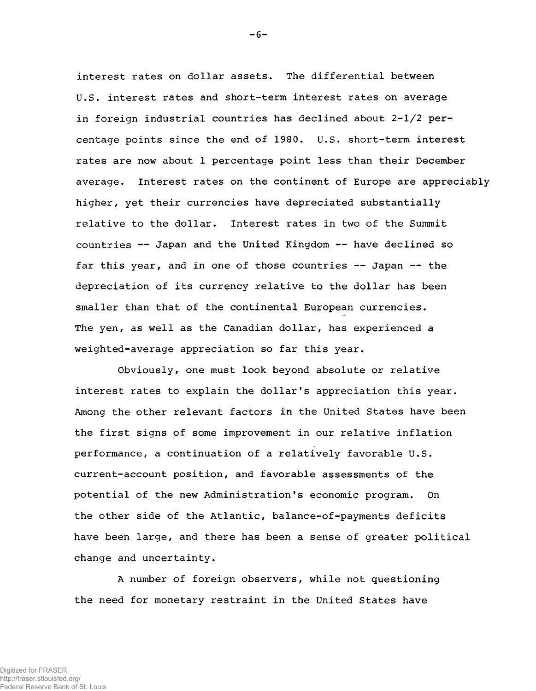interest rates on dollar assets. The differential between U.S. interest rates and short-term interest rates on average in foreign industrial countries has declined about  $2-l/2$  percentage points since the end of 1980. U.S. short-term interest rates are now about 1 percentage point less than their December average. Interest rates on the continent of Europe are appreciably higher, yet their currencies have depreciated substantially relative to the dollar. Interest rates in two of the Summit countries — Japan and the United Kingdom — have declined so far this year, and in one of those countries -- Japan -- the depreciation of its currency relative to the dollar has been smaller than that of the continental European currencies. The yen, as well as the Canadian dollar, has experienced a weighted-average appreciation so far this year.

Obviously, one must look beyond absolute or relative interest rates to explain the dollar's appreciation this year. Among the other relevant factors in the United States have been the first signs of some improvement in our relative inflation performance, a continuation of a relatively favorable U.S. current-account position, and favorable assessments of the potential of the new Administration's economic program. On the other side of the Atlantic, balance-of-payments deficits have been large, and there has been a sense of greater political change and uncertainty.

A number of foreign observers, while not questioning the need for monetary restraint in the United States have

 $-6-$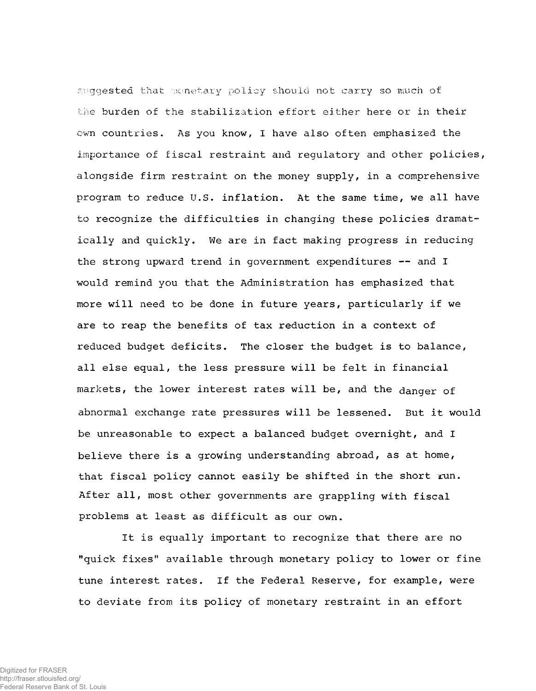suggested that monetary policy should not carry so much of the burden of the stabilization effort either here or in their own countries. As you know, I have also often emphasized the importance of fiscal restraint and regulatory and other policies, alongside firm restraint on the money supply, in a comprehensive program to reduce U.S. inflation. At the same time, we all have to recognize the difficulties in changing these policies dramatically and quickly. We are in fact making progress in reducing the strong upward trend in government expenditures -- and I would remind you that the Administration has emphasized that more will need to be done in future years, particularly if we are to reap the benefits of tax reduction in a context of reduced budget deficits. The closer the budget is to balance, all else equal, the less pressure will be felt in financial markets, the lower interest rates will be, and the danger of abnormal exchange rate pressures will be lessened. But it would be unreasonable to expect a balanced budget overnight, and I believe there is a growing understanding abroad, as at home, that fiscal policy cannot easily be shifted in the short run. After all, most other governments are grappling with fiscal problems at least as difficult as our own.

It is equally important to recognize that there are no "quick fixes" available through monetary policy to lower or fine tune interest rates. If the Federal Reserve, for example, were to deviate from its policy of monetary restraint in an effort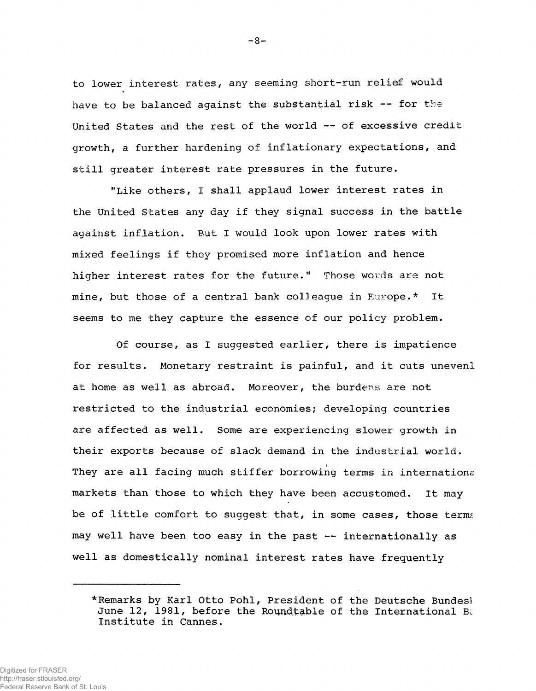to lower interest rates, any seeming short-run relief would have to be balanced against the substantial risk -- for the United States and the rest of the world — of excessive credit growth, a further hardening of inflationary expectations, and still greater interest rate pressures in the future.

"Like others, I shall applaud lower interest rates in the United States any day if they signal success in the battle against inflation. But I would look upon lower rates with mixed feelings if they promised more inflation and hence higher interest rates for the future." Those words are not mine, but those of a central bank colleague in Europe.\* It seems to me they capture the essence of our policy problem.

Of course, as I suggested earlier, there is impatience for results. Monetary restraint is painful, and it cuts unevenl at home as well as abroad. Moreover, the burdens are not restricted to the industrial economies; developing countries are affected as well. Some are experiencing slower growth in their exports because of slack demand in the industrial world. They are all facing much stiffer borrowing terms in international markets than those to which they have been accustomed. It may be of little comfort to suggest that, in some cases, those terms may well have been too easy in the past — internationally as well as domestically nominal interest rates have frequently

<sup>\*</sup>Remarks by Karl Otto Pohl, President of the Deutsche Bundesl June 12, 1981, before the Roundtable of the International Ba Institute in Cannes.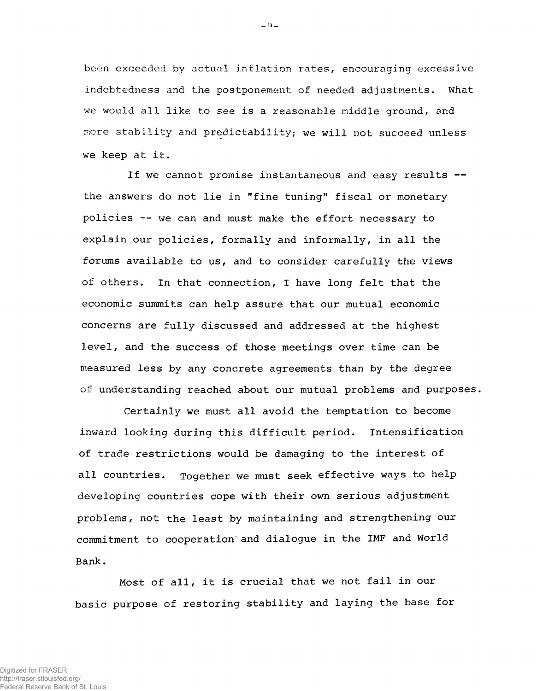been exceeded by actual inflation rates, encouraging excessive indebtedness and the postponement of needed adjustments. What we would all like to see is a reasonable middle ground, and more stability and predictability; we will not succeed unless we keep at it.

If we cannot promise instantaneous and easy results -the answers do not lie in "fine tuning" fiscal or monetary policies — we can and must make the effort necessary to explain our policies, formally and informally, in all the forums available to us, and to consider carefully the views of others. In that connection, I have long felt that the economic summits can help assure that our mutual economic concerns are fully discussed and addressed at the highest level, and the success of those meetings over time can be measured less by any concrete agreements than by the degree of understanding reached about our mutual problems and purposes,

Certainly we must all avoid the temptation to become inward looking during this difficult period. Intensification of trade restrictions would be damaging to the interest of all countries. Together we must seek effective ways to help developing countries cope with their own serious adjustment problems, not the least by maintaining and strengthening our commitment to cooperation' and dialogue in the IMF and World Bank.

Most of all, it is crucial that we not fail in our basic purpose of restoring stability and laying the base for